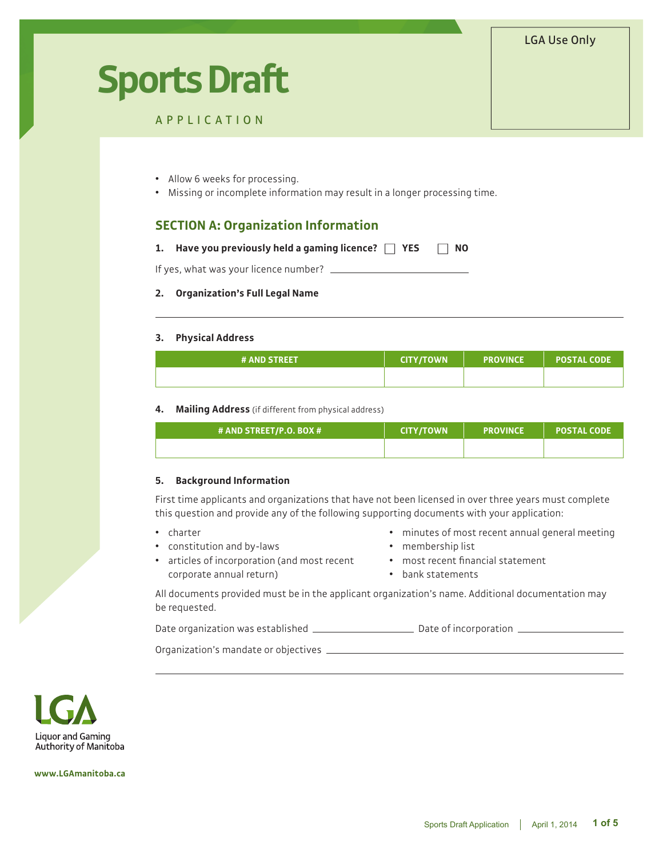## LGA Use Only

# **Sports Draft**

APPLICATION

- Allow 6 weeks for processing.
- Missing or incomplete information may result in a longer processing time.

# **SECTION A: Organization Information**

| Have you previously held a gaming licence? $\Box$ YES |  | $\Box$ NO |
|-------------------------------------------------------|--|-----------|
|-------------------------------------------------------|--|-----------|

If yes, what was your licence number?

#### **2. Organization's Full Legal Name**

#### **3. Physical Address**

| <b># AND STREET</b> | <b>CITY/TOWN</b> | <b>PROVINCE</b> | <b>POSTAL CODE</b> |
|---------------------|------------------|-----------------|--------------------|
|                     |                  |                 |                    |

#### **4. Mailing Address** (if different from physical address)

| # AND STREET/P.O. BOX # | <b>CITY/TOWN</b> | <b>PROVINCE</b> | <b>POSTAL CODE</b> |
|-------------------------|------------------|-----------------|--------------------|
|                         |                  |                 |                    |

#### **5. Background Information**

First time applicants and organizations that have not been licensed in over three years must complete this question and provide any of the following supporting documents with your application:

- charter
- constitution and by-laws
- minutes of most recent annual general meeting
- membership list
- articles of incorporation (and most recent corporate annual return)
- most recent financial statement
- bank statements

All documents provided must be in the applicant organization's name. Additional documentation may be requested.

Date organization was established \_\_\_\_\_\_\_\_\_\_\_\_\_\_\_\_\_\_\_\_\_\_\_\_\_\_ Date of incorporation \_\_\_\_\_\_\_

Organization's mandate or objectives



**www.LGAmanitoba.ca**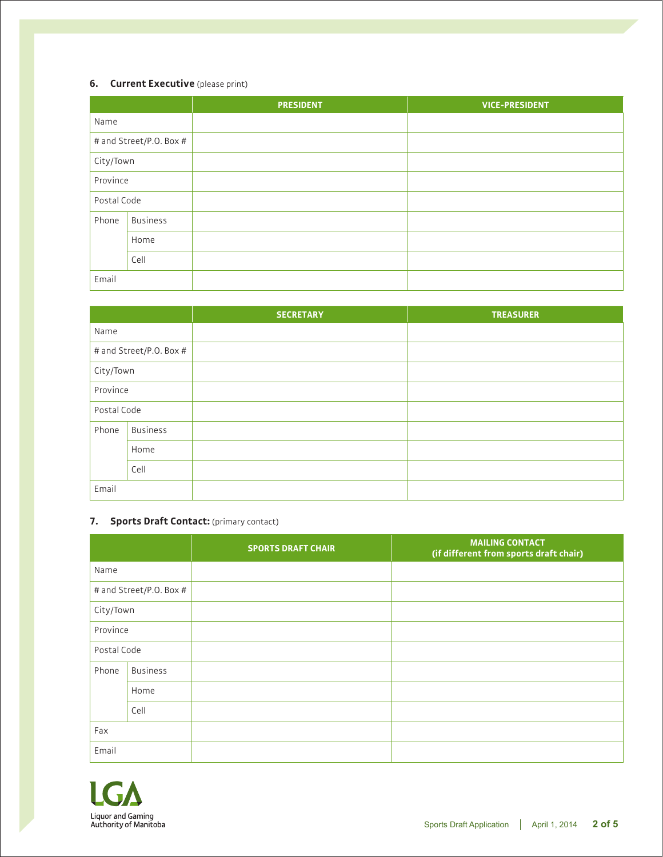## **6. Current Executive** (please print)

|             |                         | <b>PRESIDENT</b> | <b>VICE-PRESIDENT</b> |
|-------------|-------------------------|------------------|-----------------------|
| Name        |                         |                  |                       |
|             | # and Street/P.O. Box # |                  |                       |
| City/Town   |                         |                  |                       |
| Province    |                         |                  |                       |
| Postal Code |                         |                  |                       |
| Phone       | <b>Business</b>         |                  |                       |
|             | Home                    |                  |                       |
|             | Cell                    |                  |                       |
| Email       |                         |                  |                       |

|             |                         | <b>SECRETARY</b> | <b>TREASURER</b> |
|-------------|-------------------------|------------------|------------------|
| Name        |                         |                  |                  |
|             | # and Street/P.O. Box # |                  |                  |
| City/Town   |                         |                  |                  |
| Province    |                         |                  |                  |
| Postal Code |                         |                  |                  |
| Phone       | <b>Business</b>         |                  |                  |
|             | Home                    |                  |                  |
|             | Cell                    |                  |                  |
| Email       |                         |                  |                  |

## **7. Sports Draft Contact:** (primary contact)

|             |                         | <b>SPORTS DRAFT CHAIR</b> | <b>MAILING CONTACT</b><br>(if different from sports draft chair) |
|-------------|-------------------------|---------------------------|------------------------------------------------------------------|
| Name        |                         |                           |                                                                  |
|             | # and Street/P.O. Box # |                           |                                                                  |
| City/Town   |                         |                           |                                                                  |
| Province    |                         |                           |                                                                  |
| Postal Code |                         |                           |                                                                  |
| Phone       | <b>Business</b>         |                           |                                                                  |
|             | Home                    |                           |                                                                  |
|             | Cell                    |                           |                                                                  |
| Fax         |                         |                           |                                                                  |
| Email       |                         |                           |                                                                  |

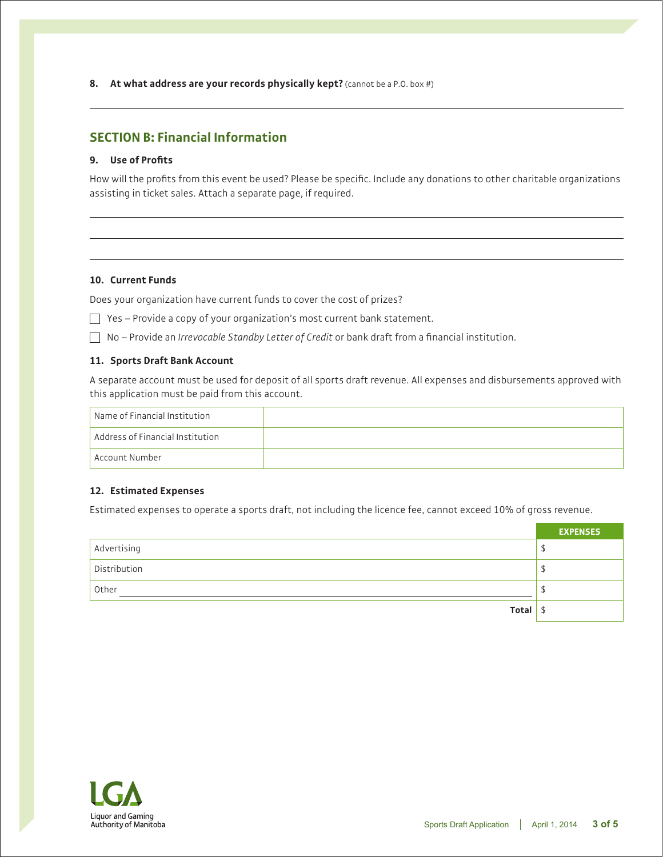**8. At what address are your records physically kept?** (cannot be a P.O. box #)

# **SECTION B: Financial Information**

## **9. Use of Profits**

How will the profits from this event be used? Please be specific. Include any donations to other charitable organizations assisting in ticket sales. Attach a separate page, if required.

#### **10. Current Funds**

Does your organization have current funds to cover the cost of prizes?

 $\Box$  Yes – Provide a copy of your organization's most current bank statement.

No – Provide an *Irrevocable Standby Letter of Credit* or bank draft from a financial institution.

#### **11. Sports Draft Bank Account**

A separate account must be used for deposit of all sports draft revenue. All expenses and disbursements approved with this application must be paid from this account.

| Name of Financial Institution    |  |
|----------------------------------|--|
| Address of Financial Institution |  |
| <sup>I</sup> Account Number      |  |

#### **12. Estimated Expenses**

Estimated expenses to operate a sports draft, not including the licence fee, cannot exceed 10% of gross revenue.

|              | <b>EXPENSES</b> |
|--------------|-----------------|
| Advertising  |                 |
| Distribution |                 |
| Other        |                 |
| Total        |                 |

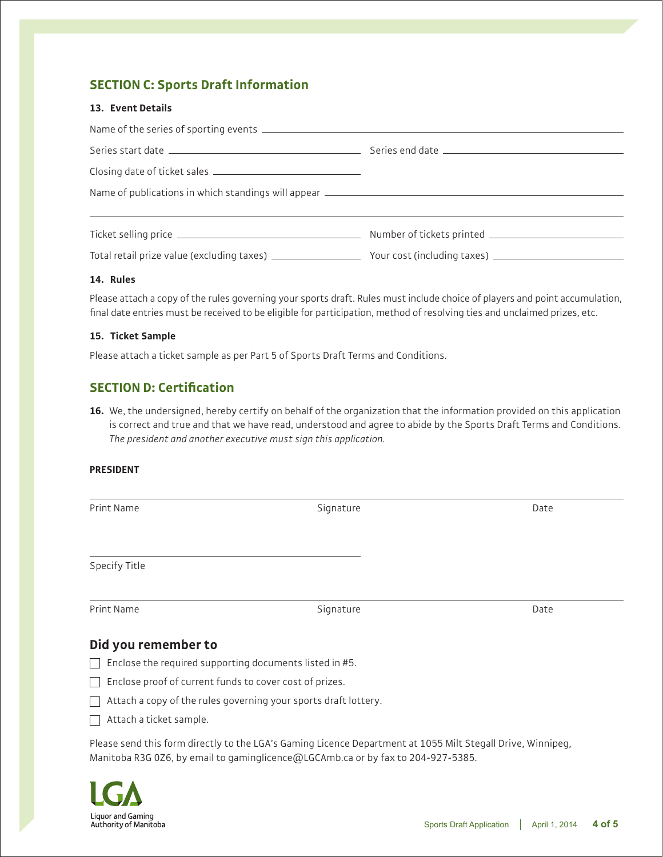# **SECTION C: Sports Draft Information**

### **13. Event Details**

#### **14. Rules**

Please attach a copy of the rules governing your sports draft. Rules must include choice of players and point accumulation, final date entries must be received to be eligible for participation, method of resolving ties and unclaimed prizes, etc.

#### **15. Ticket Sample**

Please attach a ticket sample as per Part 5 of Sports Draft Terms and Conditions.

# **SECTION D: Certification**

**16.** We, the undersigned, hereby certify on behalf of the organization that the information provided on this application is correct and true and that we have read, understood and agree to abide by the Sports Draft Terms and Conditions. *The president and another executive must sign this application.*

#### **PRESIDENT**

Print Name **Signature** Signature Signature **Signature** Date

Specify Title

Print Name Signature Signature Signature Date of the Date of the Date of the Date of the Date of the Date of the Date of the Date of the Date of the Date of the Date of the Date of the Date of the Date of the Date of the D

# **Did you remember to**

 $\Box$  Enclose the required supporting documents listed in #5.

 $\Box$  Enclose proof of current funds to cover cost of prizes.

- $\Box$  Attach a copy of the rules governing your sports draft lottery.
- Attach a ticket sample.

Please send this form directly to the LGA's Gaming Licence Department at 1055 Milt Stegall Drive, Winnipeg, Manitoba R3G 0Z6, by email to gaminglicence@LGCAmb.ca or by fax to 204-927-5385.